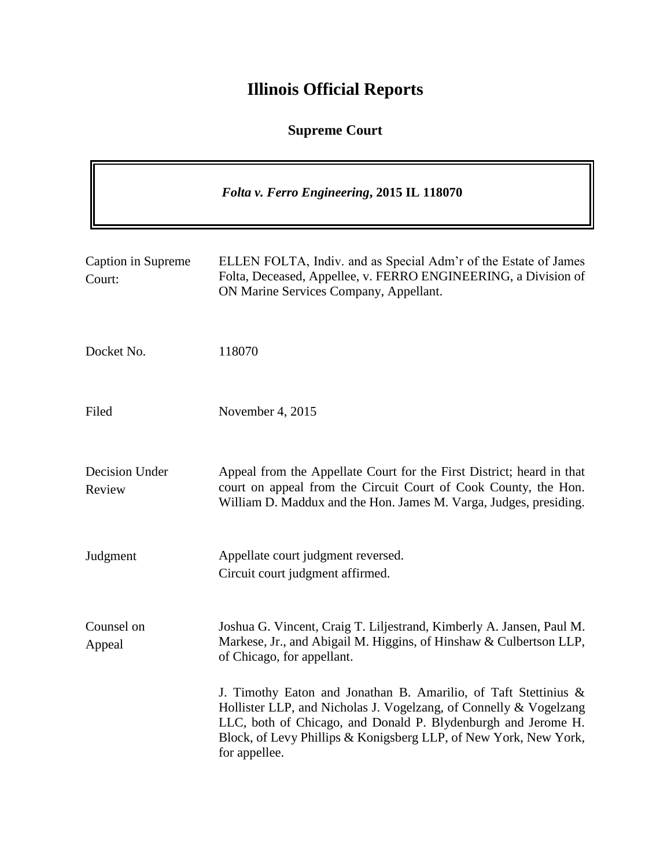# **Illinois Official Reports**

## **Supreme Court**

 $\blacksquare$ 

|                              | Folta v. Ferro Engineering, 2015 IL 118070                                                                                                                                                                                                                                                 |
|------------------------------|--------------------------------------------------------------------------------------------------------------------------------------------------------------------------------------------------------------------------------------------------------------------------------------------|
| Caption in Supreme<br>Court: | ELLEN FOLTA, Indiv. and as Special Adm'r of the Estate of James<br>Folta, Deceased, Appellee, v. FERRO ENGINEERING, a Division of<br>ON Marine Services Company, Appellant.                                                                                                                |
| Docket No.                   | 118070                                                                                                                                                                                                                                                                                     |
| Filed                        | November 4, 2015                                                                                                                                                                                                                                                                           |
| Decision Under<br>Review     | Appeal from the Appellate Court for the First District; heard in that<br>court on appeal from the Circuit Court of Cook County, the Hon.<br>William D. Maddux and the Hon. James M. Varga, Judges, presiding.                                                                              |
| Judgment                     | Appellate court judgment reversed.<br>Circuit court judgment affirmed.                                                                                                                                                                                                                     |
| Counsel on<br>Appeal         | Joshua G. Vincent, Craig T. Liljestrand, Kimberly A. Jansen, Paul M.<br>Markese, Jr., and Abigail M. Higgins, of Hinshaw & Culbertson LLP,<br>of Chicago, for appellant.                                                                                                                   |
|                              | J. Timothy Eaton and Jonathan B. Amarilio, of Taft Stettinius &<br>Hollister LLP, and Nicholas J. Vogelzang, of Connelly & Vogelzang<br>LLC, both of Chicago, and Donald P. Blydenburgh and Jerome H.<br>Block, of Levy Phillips & Konigsberg LLP, of New York, New York,<br>for appellee. |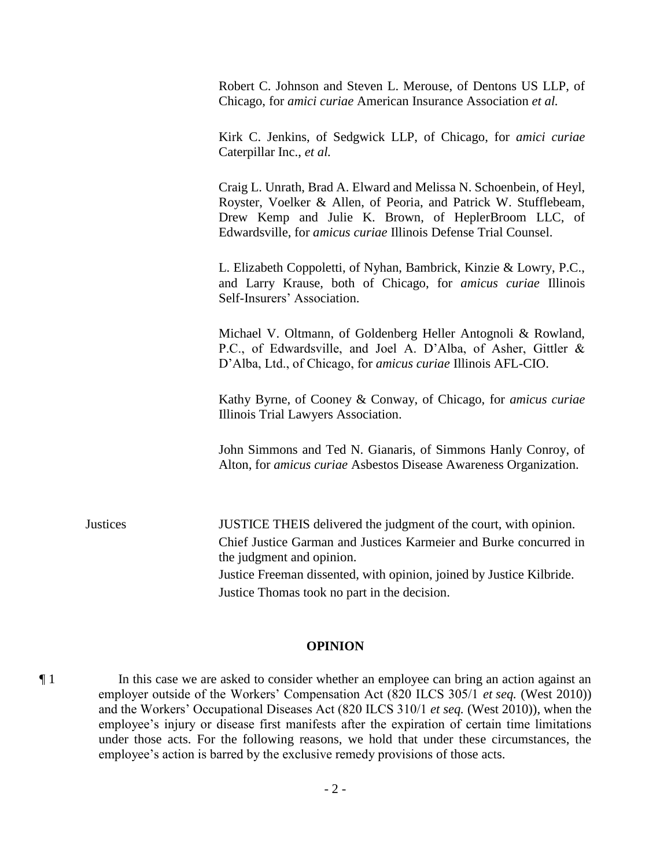Robert C. Johnson and Steven L. Merouse, of Dentons US LLP, of Chicago, for *amici curiae* American Insurance Association *et al.*

Kirk C. Jenkins, of Sedgwick LLP, of Chicago, for *amici curiae*  Caterpillar Inc., *et al.*

Craig L. Unrath, Brad A. Elward and Melissa N. Schoenbein, of Heyl, Royster, Voelker & Allen, of Peoria, and Patrick W. Stufflebeam, Drew Kemp and Julie K. Brown, of HeplerBroom LLC, of Edwardsville, for *amicus curiae* Illinois Defense Trial Counsel.

L. Elizabeth Coppoletti, of Nyhan, Bambrick, Kinzie & Lowry, P.C., and Larry Krause, both of Chicago, for *amicus curiae* Illinois Self-Insurers' Association.

Michael V. Oltmann, of Goldenberg Heller Antognoli & Rowland, P.C., of Edwardsville, and Joel A. D'Alba, of Asher, Gittler & D'Alba, Ltd., of Chicago, for *amicus curiae* Illinois AFL-CIO.

Kathy Byrne, of Cooney & Conway, of Chicago, for *amicus curiae* Illinois Trial Lawyers Association.

John Simmons and Ted N. Gianaris, of Simmons Hanly Conroy, of Alton, for *amicus curiae* Asbestos Disease Awareness Organization.

Justices JUSTICE THEIS delivered the judgment of the court, with opinion. Chief Justice Garman and Justices Karmeier and Burke concurred in the judgment and opinion. Justice Freeman dissented, with opinion, joined by Justice Kilbride. Justice Thomas took no part in the decision.

### **OPINION**

¶ 1 In this case we are asked to consider whether an employee can bring an action against an employer outside of the Workers' Compensation Act (820 ILCS 305/1 *et seq.* (West 2010)) and the Workers' Occupational Diseases Act (820 ILCS 310/1 *et seq.* (West 2010)), when the employee's injury or disease first manifests after the expiration of certain time limitations under those acts. For the following reasons, we hold that under these circumstances, the employee's action is barred by the exclusive remedy provisions of those acts.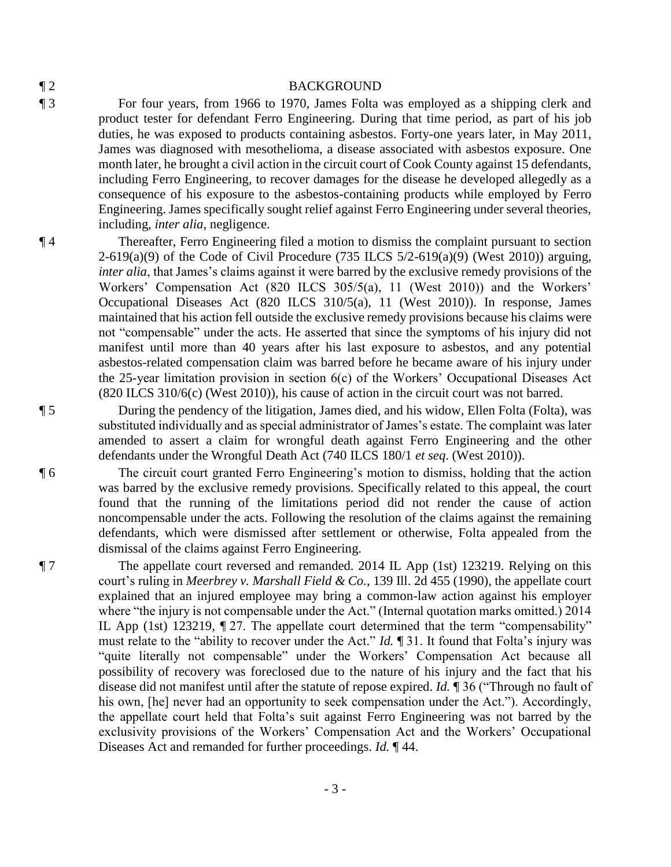### ¶ 2 BACKGROUND

¶ 3 For four years, from 1966 to 1970, James Folta was employed as a shipping clerk and product tester for defendant Ferro Engineering. During that time period, as part of his job duties, he was exposed to products containing asbestos. Forty-one years later, in May 2011, James was diagnosed with mesothelioma, a disease associated with asbestos exposure. One month later, he brought a civil action in the circuit court of Cook County against 15 defendants, including Ferro Engineering, to recover damages for the disease he developed allegedly as a consequence of his exposure to the asbestos-containing products while employed by Ferro Engineering. James specifically sought relief against Ferro Engineering under several theories, including, *inter alia*, negligence.

¶ 4 Thereafter, Ferro Engineering filed a motion to dismiss the complaint pursuant to section 2-619(a)(9) of the Code of Civil Procedure (735 ILCS  $5/2$ -619(a)(9) (West 2010)) arguing, *inter alia*, that James's claims against it were barred by the exclusive remedy provisions of the Workers' Compensation Act (820 ILCS 305/5(a), 11 (West 2010)) and the Workers' Occupational Diseases Act (820 ILCS 310/5(a), 11 (West 2010)). In response, James maintained that his action fell outside the exclusive remedy provisions because his claims were not "compensable" under the acts. He asserted that since the symptoms of his injury did not manifest until more than 40 years after his last exposure to asbestos, and any potential asbestos-related compensation claim was barred before he became aware of his injury under the 25-year limitation provision in section 6(c) of the Workers' Occupational Diseases Act (820 ILCS 310/6(c) (West 2010)), his cause of action in the circuit court was not barred.

¶ 5 During the pendency of the litigation, James died, and his widow, Ellen Folta (Folta), was substituted individually and as special administrator of James's estate. The complaint was later amended to assert a claim for wrongful death against Ferro Engineering and the other defendants under the Wrongful Death Act (740 ILCS 180/1 *et seq*. (West 2010)).

¶ 6 The circuit court granted Ferro Engineering's motion to dismiss, holding that the action was barred by the exclusive remedy provisions. Specifically related to this appeal, the court found that the running of the limitations period did not render the cause of action noncompensable under the acts. Following the resolution of the claims against the remaining defendants, which were dismissed after settlement or otherwise, Folta appealed from the dismissal of the claims against Ferro Engineering.

¶ 7 The appellate court reversed and remanded. 2014 IL App (1st) 123219. Relying on this court's ruling in *Meerbrey v. Marshall Field & Co.*, 139 Ill. 2d 455 (1990), the appellate court explained that an injured employee may bring a common-law action against his employer where "the injury is not compensable under the Act." (Internal quotation marks omitted.) 2014 IL App (1st) 123219, ¶ 27. The appellate court determined that the term "compensability" must relate to the "ability to recover under the Act." *Id.* ¶ 31. It found that Folta's injury was "quite literally not compensable" under the Workers' Compensation Act because all possibility of recovery was foreclosed due to the nature of his injury and the fact that his disease did not manifest until after the statute of repose expired. *Id.* ¶ 36 ("Through no fault of his own, [he] never had an opportunity to seek compensation under the Act."). Accordingly, the appellate court held that Folta's suit against Ferro Engineering was not barred by the exclusivity provisions of the Workers' Compensation Act and the Workers' Occupational Diseases Act and remanded for further proceedings. *Id.* ¶ 44.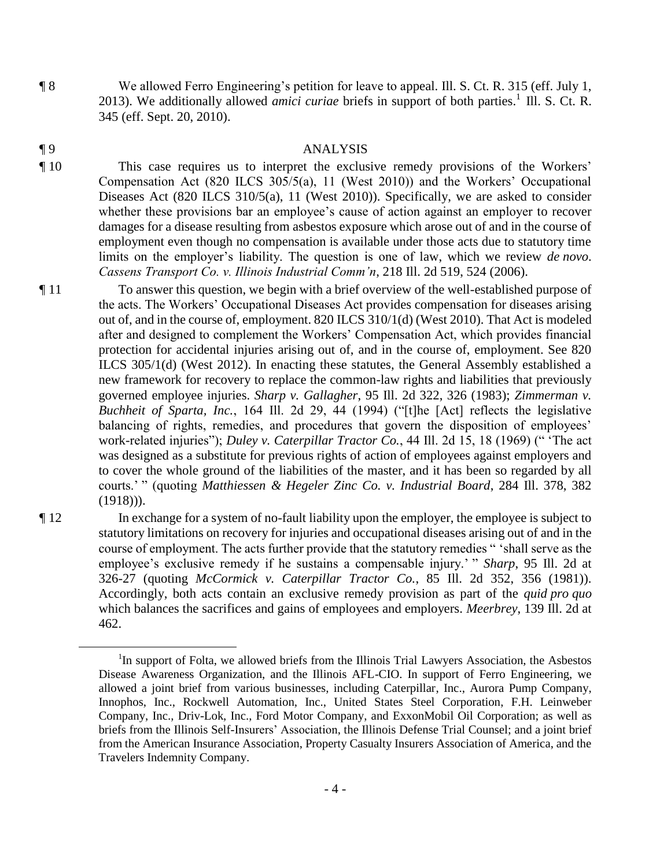¶ 8 We allowed Ferro Engineering's petition for leave to appeal. Ill. S. Ct. R. 315 (eff. July 1, 2013). We additionally allowed *amici curiae* briefs in support of both parties.<sup>1</sup> Ill. S. Ct. R. 345 (eff. Sept. 20, 2010).

### ¶ 9 ANALYSIS

¶ 10 This case requires us to interpret the exclusive remedy provisions of the Workers' Compensation Act (820 ILCS 305/5(a), 11 (West 2010)) and the Workers' Occupational Diseases Act (820 ILCS 310/5(a), 11 (West 2010)). Specifically, we are asked to consider whether these provisions bar an employee's cause of action against an employer to recover damages for a disease resulting from asbestos exposure which arose out of and in the course of employment even though no compensation is available under those acts due to statutory time limits on the employer's liability. The question is one of law, which we review *de novo*. *Cassens Transport Co. v. Illinois Industrial Comm'n*, 218 Ill. 2d 519, 524 (2006).

¶ 11 To answer this question, we begin with a brief overview of the well-established purpose of the acts. The Workers' Occupational Diseases Act provides compensation for diseases arising out of, and in the course of, employment. 820 ILCS 310/1(d) (West 2010). That Act is modeled after and designed to complement the Workers' Compensation Act, which provides financial protection for accidental injuries arising out of, and in the course of, employment. See 820 ILCS 305/1(d) (West 2012). In enacting these statutes, the General Assembly established a new framework for recovery to replace the common-law rights and liabilities that previously governed employee injuries. *Sharp v. Gallagher*, 95 Ill. 2d 322, 326 (1983); *Zimmerman v. Buchheit of Sparta, Inc.*, 164 Ill. 2d 29, 44 (1994) ("[t]he [Act] reflects the legislative balancing of rights, remedies, and procedures that govern the disposition of employees' work-related injuries"); *Duley v. Caterpillar Tractor Co.*, 44 Ill. 2d 15, 18 (1969) (" 'The act was designed as a substitute for previous rights of action of employees against employers and to cover the whole ground of the liabilities of the master, and it has been so regarded by all courts.' " (quoting *Matthiessen & Hegeler Zinc Co. v. Industrial Board*, 284 Ill. 378, 382 (1918))).

 $\overline{a}$ 

¶ 12 In exchange for a system of no-fault liability upon the employer, the employee is subject to statutory limitations on recovery for injuries and occupational diseases arising out of and in the course of employment. The acts further provide that the statutory remedies " 'shall serve as the employee's exclusive remedy if he sustains a compensable injury.' " *Sharp*, 95 Ill. 2d at 326-27 (quoting *McCormick v. Caterpillar Tractor Co.*, 85 Ill. 2d 352, 356 (1981)). Accordingly, both acts contain an exclusive remedy provision as part of the *quid pro quo* which balances the sacrifices and gains of employees and employers. *Meerbrey*, 139 Ill. 2d at 462.

<sup>&</sup>lt;sup>1</sup>In support of Folta, we allowed briefs from the Illinois Trial Lawyers Association, the Asbestos Disease Awareness Organization, and the Illinois AFL-CIO. In support of Ferro Engineering, we allowed a joint brief from various businesses, including Caterpillar, Inc., Aurora Pump Company, Innophos, Inc., Rockwell Automation, Inc., United States Steel Corporation, F.H. Leinweber Company, Inc., Driv-Lok, Inc., Ford Motor Company, and ExxonMobil Oil Corporation; as well as briefs from the Illinois Self-Insurers' Association, the Illinois Defense Trial Counsel; and a joint brief from the American Insurance Association, Property Casualty Insurers Association of America, and the Travelers Indemnity Company.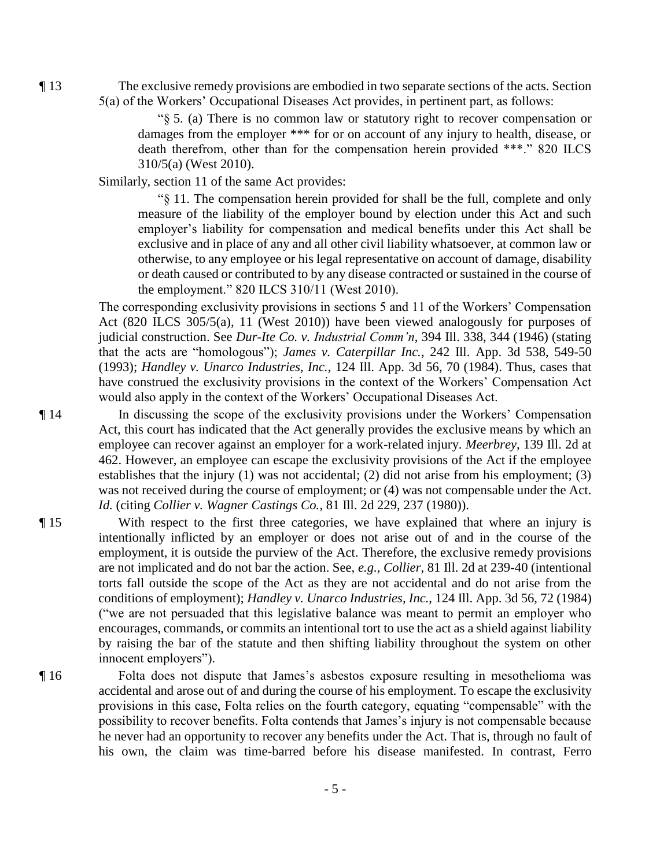¶ 13 The exclusive remedy provisions are embodied in two separate sections of the acts. Section 5(a) of the Workers' Occupational Diseases Act provides, in pertinent part, as follows:

> "§ 5. (a) There is no common law or statutory right to recover compensation or damages from the employer \*\*\* for or on account of any injury to health, disease, or death therefrom, other than for the compensation herein provided \*\*\*." 820 ILCS 310/5(a) (West 2010).

Similarly, section 11 of the same Act provides:

"§ 11. The compensation herein provided for shall be the full, complete and only measure of the liability of the employer bound by election under this Act and such employer's liability for compensation and medical benefits under this Act shall be exclusive and in place of any and all other civil liability whatsoever, at common law or otherwise, to any employee or his legal representative on account of damage, disability or death caused or contributed to by any disease contracted or sustained in the course of the employment." 820 ILCS 310/11 (West 2010).

The corresponding exclusivity provisions in sections 5 and 11 of the Workers' Compensation Act (820 ILCS 305/5(a), 11 (West 2010)) have been viewed analogously for purposes of judicial construction. See *Dur-Ite Co. v. Industrial Comm'n*, 394 Ill. 338, 344 (1946) (stating that the acts are "homologous"); *James v. Caterpillar Inc.*, 242 Ill. App. 3d 538, 549-50 (1993); *Handley v. Unarco Industries, Inc.*, 124 Ill. App. 3d 56, 70 (1984). Thus, cases that have construed the exclusivity provisions in the context of the Workers' Compensation Act would also apply in the context of the Workers' Occupational Diseases Act.

¶ 14 In discussing the scope of the exclusivity provisions under the Workers' Compensation Act, this court has indicated that the Act generally provides the exclusive means by which an employee can recover against an employer for a work-related injury. *Meerbrey*, 139 Ill. 2d at 462. However, an employee can escape the exclusivity provisions of the Act if the employee establishes that the injury (1) was not accidental; (2) did not arise from his employment; (3) was not received during the course of employment; or (4) was not compensable under the Act. *Id.* (citing *Collier v. Wagner Castings Co.*, 81 Ill. 2d 229, 237 (1980)).

- ¶ 15 With respect to the first three categories, we have explained that where an injury is intentionally inflicted by an employer or does not arise out of and in the course of the employment, it is outside the purview of the Act. Therefore, the exclusive remedy provisions are not implicated and do not bar the action. See, *e.g.*, *Collier*, 81 Ill. 2d at 239-40 (intentional torts fall outside the scope of the Act as they are not accidental and do not arise from the conditions of employment); *Handley v. Unarco Industries, Inc.*, 124 Ill. App. 3d 56, 72 (1984) ("we are not persuaded that this legislative balance was meant to permit an employer who encourages, commands, or commits an intentional tort to use the act as a shield against liability by raising the bar of the statute and then shifting liability throughout the system on other innocent employers").
- ¶ 16 Folta does not dispute that James's asbestos exposure resulting in mesothelioma was accidental and arose out of and during the course of his employment. To escape the exclusivity provisions in this case, Folta relies on the fourth category, equating "compensable" with the possibility to recover benefits. Folta contends that James's injury is not compensable because he never had an opportunity to recover any benefits under the Act. That is, through no fault of his own, the claim was time-barred before his disease manifested. In contrast, Ferro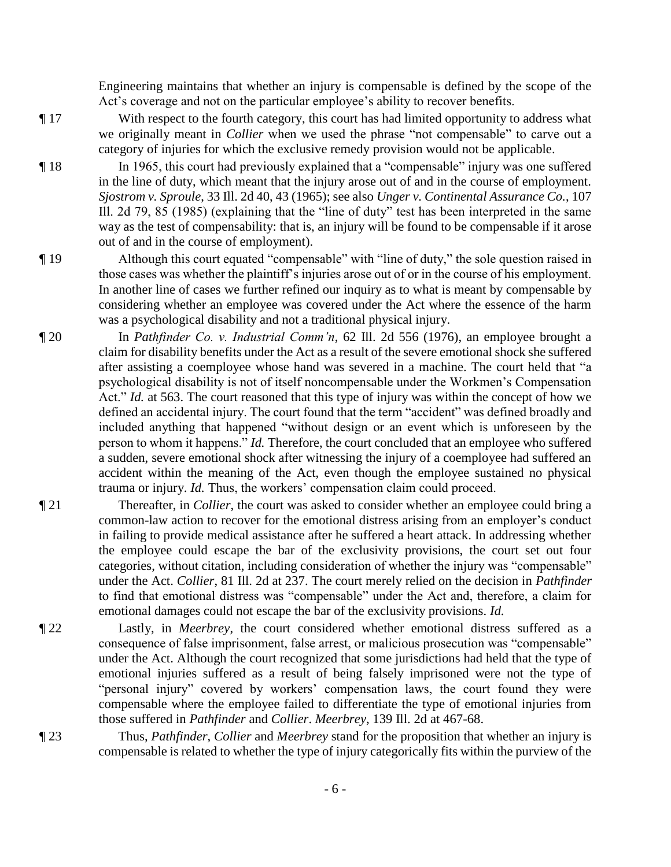Engineering maintains that whether an injury is compensable is defined by the scope of the Act's coverage and not on the particular employee's ability to recover benefits.

¶ 17 With respect to the fourth category, this court has had limited opportunity to address what we originally meant in *Collier* when we used the phrase "not compensable" to carve out a category of injuries for which the exclusive remedy provision would not be applicable.

¶ 18 In 1965, this court had previously explained that a "compensable" injury was one suffered in the line of duty, which meant that the injury arose out of and in the course of employment. *Sjostrom v. Sproule*, 33 Ill. 2d 40, 43 (1965); see also *Unger v. Continental Assurance Co.*, 107 Ill. 2d 79, 85 (1985) (explaining that the "line of duty" test has been interpreted in the same way as the test of compensability: that is, an injury will be found to be compensable if it arose out of and in the course of employment).

- ¶ 19 Although this court equated "compensable" with "line of duty," the sole question raised in those cases was whether the plaintiff's injuries arose out of or in the course of his employment. In another line of cases we further refined our inquiry as to what is meant by compensable by considering whether an employee was covered under the Act where the essence of the harm was a psychological disability and not a traditional physical injury.
- ¶ 20 In *Pathfinder Co. v. Industrial Comm'n*, 62 Ill. 2d 556 (1976), an employee brought a claim for disability benefits under the Act as a result of the severe emotional shock she suffered after assisting a coemployee whose hand was severed in a machine. The court held that "a psychological disability is not of itself noncompensable under the Workmen's Compensation Act." *Id.* at 563. The court reasoned that this type of injury was within the concept of how we defined an accidental injury. The court found that the term "accident" was defined broadly and included anything that happened "without design or an event which is unforeseen by the person to whom it happens." *Id.* Therefore, the court concluded that an employee who suffered a sudden, severe emotional shock after witnessing the injury of a coemployee had suffered an accident within the meaning of the Act, even though the employee sustained no physical trauma or injury. *Id.* Thus, the workers' compensation claim could proceed.
- ¶ 21 Thereafter, in *Collier*, the court was asked to consider whether an employee could bring a common-law action to recover for the emotional distress arising from an employer's conduct in failing to provide medical assistance after he suffered a heart attack. In addressing whether the employee could escape the bar of the exclusivity provisions, the court set out four categories, without citation, including consideration of whether the injury was "compensable" under the Act. *Collier*, 81 Ill. 2d at 237. The court merely relied on the decision in *Pathfinder* to find that emotional distress was "compensable" under the Act and, therefore, a claim for emotional damages could not escape the bar of the exclusivity provisions. *Id.*
- ¶ 22 Lastly, in *Meerbrey*, the court considered whether emotional distress suffered as a consequence of false imprisonment, false arrest, or malicious prosecution was "compensable" under the Act. Although the court recognized that some jurisdictions had held that the type of emotional injuries suffered as a result of being falsely imprisoned were not the type of "personal injury" covered by workers' compensation laws, the court found they were compensable where the employee failed to differentiate the type of emotional injuries from those suffered in *Pathfinder* and *Collier*. *Meerbrey*, 139 Ill. 2d at 467-68.
- 

¶ 23 Thus, *Pathfinder*, *Collier* and *Meerbrey* stand for the proposition that whether an injury is compensable is related to whether the type of injury categorically fits within the purview of the

- 6 -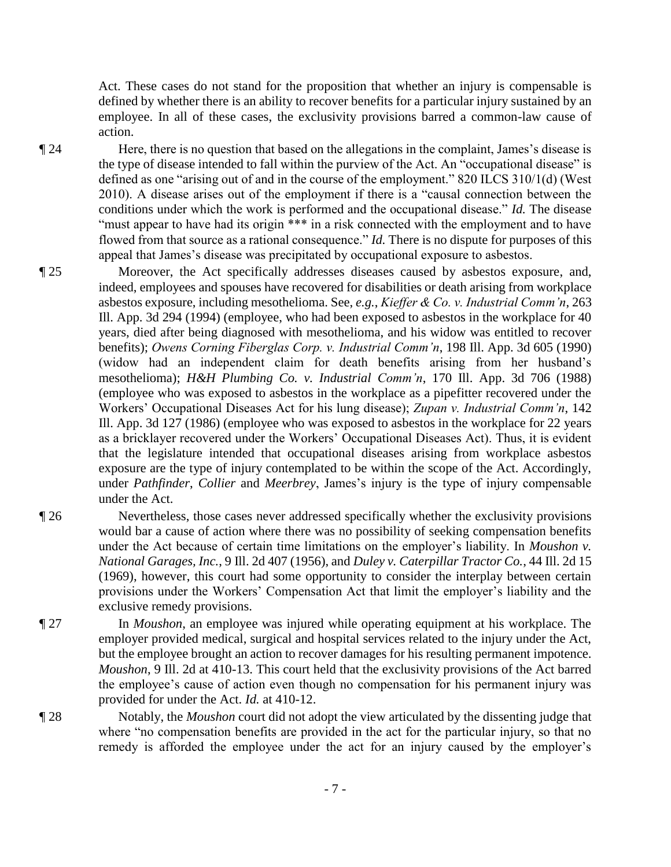Act. These cases do not stand for the proposition that whether an injury is compensable is defined by whether there is an ability to recover benefits for a particular injury sustained by an employee. In all of these cases, the exclusivity provisions barred a common-law cause of action.

¶ 24 Here, there is no question that based on the allegations in the complaint, James's disease is the type of disease intended to fall within the purview of the Act. An "occupational disease" is defined as one "arising out of and in the course of the employment." 820 ILCS 310/1(d) (West 2010). A disease arises out of the employment if there is a "causal connection between the conditions under which the work is performed and the occupational disease." *Id.* The disease "must appear to have had its origin \*\*\* in a risk connected with the employment and to have flowed from that source as a rational consequence." *Id.* There is no dispute for purposes of this appeal that James's disease was precipitated by occupational exposure to asbestos.

- ¶ 25 Moreover, the Act specifically addresses diseases caused by asbestos exposure, and, indeed, employees and spouses have recovered for disabilities or death arising from workplace asbestos exposure, including mesothelioma. See, *e.g.*, *Kieffer & Co. v. Industrial Comm'n*, 263 Ill. App. 3d 294 (1994) (employee, who had been exposed to asbestos in the workplace for 40 years, died after being diagnosed with mesothelioma, and his widow was entitled to recover benefits); *Owens Corning Fiberglas Corp. v. Industrial Comm'n*, 198 Ill. App. 3d 605 (1990) (widow had an independent claim for death benefits arising from her husband's mesothelioma); *H&H Plumbing Co. v. Industrial Comm'n*, 170 Ill. App. 3d 706 (1988) (employee who was exposed to asbestos in the workplace as a pipefitter recovered under the Workers' Occupational Diseases Act for his lung disease); *Zupan v. Industrial Comm'n*, 142 Ill. App. 3d 127 (1986) (employee who was exposed to asbestos in the workplace for 22 years as a bricklayer recovered under the Workers' Occupational Diseases Act). Thus, it is evident that the legislature intended that occupational diseases arising from workplace asbestos exposure are the type of injury contemplated to be within the scope of the Act. Accordingly, under *Pathfinder*, *Collier* and *Meerbrey*, James's injury is the type of injury compensable under the Act.
- ¶ 26 Nevertheless, those cases never addressed specifically whether the exclusivity provisions would bar a cause of action where there was no possibility of seeking compensation benefits under the Act because of certain time limitations on the employer's liability. In *Moushon v. National Garages, Inc.*, 9 Ill. 2d 407 (1956), and *Duley v. Caterpillar Tractor Co.*, 44 Ill. 2d 15 (1969), however, this court had some opportunity to consider the interplay between certain provisions under the Workers' Compensation Act that limit the employer's liability and the exclusive remedy provisions.
- ¶ 27 In *Moushon*, an employee was injured while operating equipment at his workplace. The employer provided medical, surgical and hospital services related to the injury under the Act, but the employee brought an action to recover damages for his resulting permanent impotence. *Moushon*, 9 Ill. 2d at 410-13. This court held that the exclusivity provisions of the Act barred the employee's cause of action even though no compensation for his permanent injury was provided for under the Act. *Id.* at 410-12.
- ¶ 28 Notably, the *Moushon* court did not adopt the view articulated by the dissenting judge that where "no compensation benefits are provided in the act for the particular injury, so that no remedy is afforded the employee under the act for an injury caused by the employer's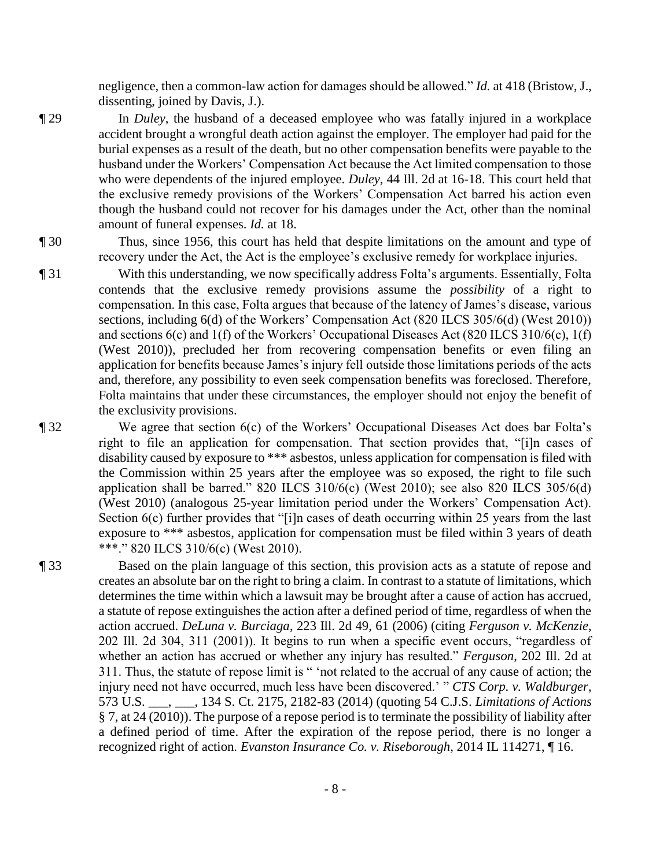negligence, then a common-law action for damages should be allowed." *Id.* at 418 (Bristow, J., dissenting, joined by Davis, J.).

¶ 29 In *Duley*, the husband of a deceased employee who was fatally injured in a workplace accident brought a wrongful death action against the employer. The employer had paid for the burial expenses as a result of the death, but no other compensation benefits were payable to the husband under the Workers' Compensation Act because the Act limited compensation to those who were dependents of the injured employee. *Duley*, 44 Ill. 2d at 16-18. This court held that the exclusive remedy provisions of the Workers' Compensation Act barred his action even though the husband could not recover for his damages under the Act, other than the nominal amount of funeral expenses. *Id.* at 18.

¶ 30 Thus, since 1956, this court has held that despite limitations on the amount and type of recovery under the Act, the Act is the employee's exclusive remedy for workplace injuries.

¶ 31 With this understanding, we now specifically address Folta's arguments. Essentially, Folta contends that the exclusive remedy provisions assume the *possibility* of a right to compensation. In this case, Folta argues that because of the latency of James's disease, various sections, including 6(d) of the Workers' Compensation Act (820 ILCS 305/6(d) (West 2010)) and sections 6(c) and 1(f) of the Workers' Occupational Diseases Act (820 ILCS 310/6(c), 1(f) (West 2010)), precluded her from recovering compensation benefits or even filing an application for benefits because James's injury fell outside those limitations periods of the acts and, therefore, any possibility to even seek compensation benefits was foreclosed. Therefore, Folta maintains that under these circumstances, the employer should not enjoy the benefit of the exclusivity provisions.

¶ 32 We agree that section 6(c) of the Workers' Occupational Diseases Act does bar Folta's right to file an application for compensation. That section provides that, "[i]n cases of disability caused by exposure to \*\*\* asbestos, unless application for compensation is filed with the Commission within 25 years after the employee was so exposed, the right to file such application shall be barred." 820 ILCS  $310/6(c)$  (West 2010); see also 820 ILCS 305/6(d) (West 2010) (analogous 25-year limitation period under the Workers' Compensation Act). Section 6(c) further provides that "[i]n cases of death occurring within 25 years from the last exposure to \*\*\* asbestos, application for compensation must be filed within 3 years of death \*\*\*." 820 ILCS 310/6(c) (West 2010).

¶ 33 Based on the plain language of this section, this provision acts as a statute of repose and creates an absolute bar on the right to bring a claim. In contrast to a statute of limitations, which determines the time within which a lawsuit may be brought after a cause of action has accrued, a statute of repose extinguishes the action after a defined period of time, regardless of when the action accrued. *DeLuna v. Burciaga*, 223 Ill. 2d 49, 61 (2006) (citing *Ferguson v. McKenzie*, 202 Ill. 2d 304, 311 (2001)). It begins to run when a specific event occurs, "regardless of whether an action has accrued or whether any injury has resulted." *Ferguson*, 202 Ill. 2d at 311. Thus, the statute of repose limit is " 'not related to the accrual of any cause of action; the injury need not have occurred, much less have been discovered.' " *CTS Corp. v. Waldburger*, 573 U.S. \_\_\_, \_\_\_, 134 S. Ct. 2175, 2182-83 (2014) (quoting 54 C.J.S. *Limitations of Actions* § 7, at 24 (2010)). The purpose of a repose period is to terminate the possibility of liability after a defined period of time. After the expiration of the repose period, there is no longer a recognized right of action. *Evanston Insurance Co. v. Riseborough*, 2014 IL 114271, ¶ 16.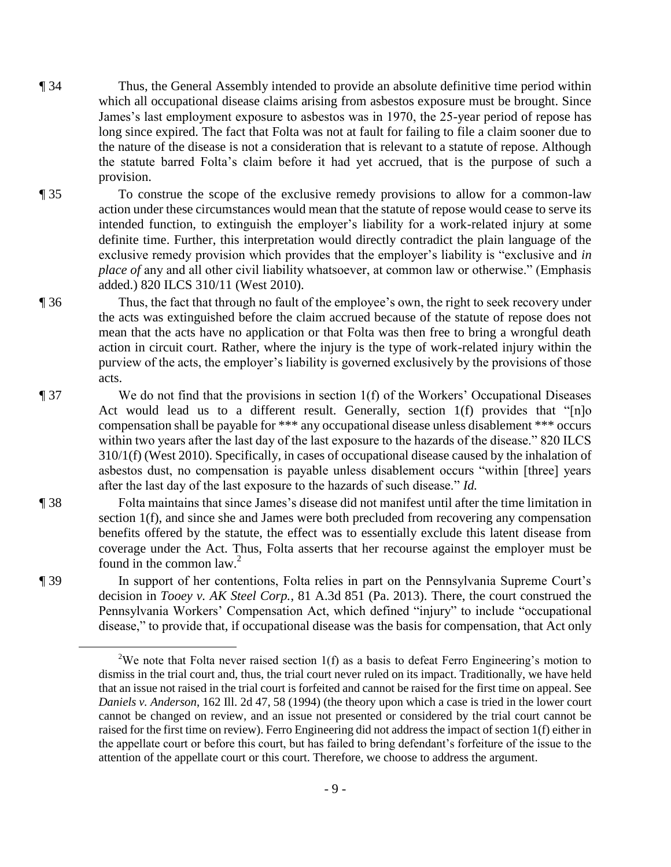- ¶ 34 Thus, the General Assembly intended to provide an absolute definitive time period within which all occupational disease claims arising from asbestos exposure must be brought. Since James's last employment exposure to asbestos was in 1970, the 25-year period of repose has long since expired. The fact that Folta was not at fault for failing to file a claim sooner due to the nature of the disease is not a consideration that is relevant to a statute of repose. Although the statute barred Folta's claim before it had yet accrued, that is the purpose of such a provision.
- ¶ 35 To construe the scope of the exclusive remedy provisions to allow for a common-law action under these circumstances would mean that the statute of repose would cease to serve its intended function, to extinguish the employer's liability for a work-related injury at some definite time. Further, this interpretation would directly contradict the plain language of the exclusive remedy provision which provides that the employer's liability is "exclusive and *in place of* any and all other civil liability whatsoever, at common law or otherwise." (Emphasis added.) 820 ILCS 310/11 (West 2010).
- ¶ 36 Thus, the fact that through no fault of the employee's own, the right to seek recovery under the acts was extinguished before the claim accrued because of the statute of repose does not mean that the acts have no application or that Folta was then free to bring a wrongful death action in circuit court. Rather, where the injury is the type of work-related injury within the purview of the acts, the employer's liability is governed exclusively by the provisions of those acts.
- 

 $\overline{a}$ 

¶ 37 We do not find that the provisions in section 1(f) of the Workers' Occupational Diseases Act would lead us to a different result. Generally, section 1(f) provides that "[n]o compensation shall be payable for \*\*\* any occupational disease unless disablement \*\*\* occurs within two years after the last day of the last exposure to the hazards of the disease." 820 ILCS 310/1(f) (West 2010). Specifically, in cases of occupational disease caused by the inhalation of asbestos dust, no compensation is payable unless disablement occurs "within [three] years after the last day of the last exposure to the hazards of such disease." *Id.*

¶ 38 Folta maintains that since James's disease did not manifest until after the time limitation in section 1(f), and since she and James were both precluded from recovering any compensation benefits offered by the statute, the effect was to essentially exclude this latent disease from coverage under the Act. Thus, Folta asserts that her recourse against the employer must be found in the common law. $2$ 

¶ 39 In support of her contentions, Folta relies in part on the Pennsylvania Supreme Court's decision in *Tooey v. AK Steel Corp.*, 81 A.3d 851 (Pa. 2013). There, the court construed the Pennsylvania Workers' Compensation Act, which defined "injury" to include "occupational disease," to provide that, if occupational disease was the basis for compensation, that Act only

<sup>&</sup>lt;sup>2</sup>We note that Folta never raised section 1(f) as a basis to defeat Ferro Engineering's motion to dismiss in the trial court and, thus, the trial court never ruled on its impact. Traditionally, we have held that an issue not raised in the trial court is forfeited and cannot be raised for the first time on appeal. See *Daniels v. Anderson*, 162 Ill. 2d 47, 58 (1994) (the theory upon which a case is tried in the lower court cannot be changed on review, and an issue not presented or considered by the trial court cannot be raised for the first time on review). Ferro Engineering did not address the impact of section 1(f) either in the appellate court or before this court, but has failed to bring defendant's forfeiture of the issue to the attention of the appellate court or this court. Therefore, we choose to address the argument.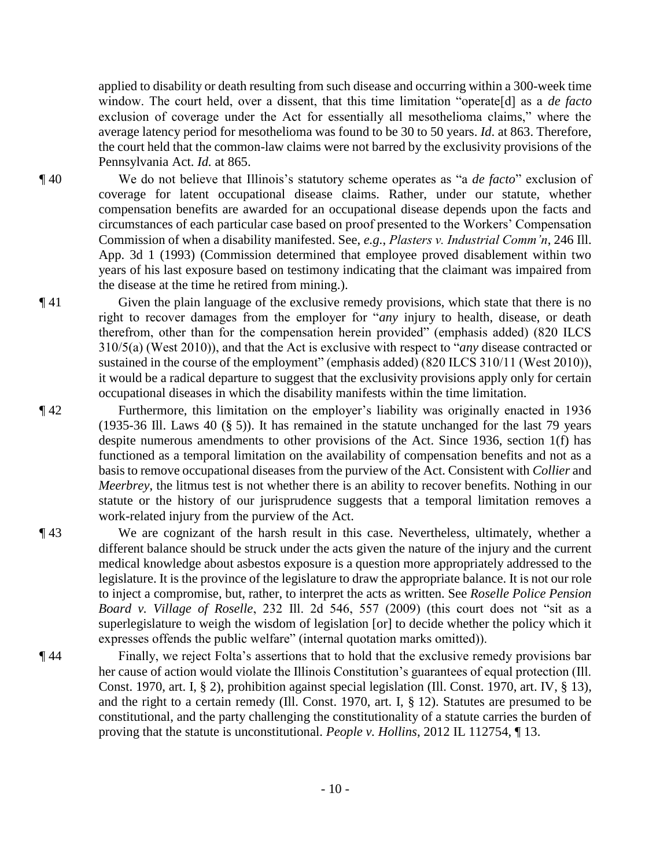applied to disability or death resulting from such disease and occurring within a 300-week time window. The court held, over a dissent, that this time limitation "operate[d] as a *de facto* exclusion of coverage under the Act for essentially all mesothelioma claims," where the average latency period for mesothelioma was found to be 30 to 50 years. *Id*. at 863. Therefore, the court held that the common-law claims were not barred by the exclusivity provisions of the Pennsylvania Act. *Id.* at 865.

- ¶ 40 We do not believe that Illinois's statutory scheme operates as "a *de facto*" exclusion of coverage for latent occupational disease claims. Rather, under our statute, whether compensation benefits are awarded for an occupational disease depends upon the facts and circumstances of each particular case based on proof presented to the Workers' Compensation Commission of when a disability manifested. See, *e.g.*, *Plasters v. Industrial Comm'n*, 246 Ill. App. 3d 1 (1993) (Commission determined that employee proved disablement within two years of his last exposure based on testimony indicating that the claimant was impaired from the disease at the time he retired from mining.).
- ¶ 41 Given the plain language of the exclusive remedy provisions, which state that there is no right to recover damages from the employer for "*any* injury to health, disease, or death therefrom, other than for the compensation herein provided" (emphasis added) (820 ILCS 310/5(a) (West 2010)), and that the Act is exclusive with respect to "*any* disease contracted or sustained in the course of the employment" (emphasis added) (820 ILCS 310/11 (West 2010)), it would be a radical departure to suggest that the exclusivity provisions apply only for certain occupational diseases in which the disability manifests within the time limitation.
- ¶ 42 Furthermore, this limitation on the employer's liability was originally enacted in 1936 (1935-36 Ill. Laws 40 (§ 5)). It has remained in the statute unchanged for the last 79 years despite numerous amendments to other provisions of the Act. Since 1936, section 1(f) has functioned as a temporal limitation on the availability of compensation benefits and not as a basis to remove occupational diseases from the purview of the Act. Consistent with *Collier* and *Meerbrey*, the litmus test is not whether there is an ability to recover benefits. Nothing in our statute or the history of our jurisprudence suggests that a temporal limitation removes a work-related injury from the purview of the Act.
- ¶ 43 We are cognizant of the harsh result in this case. Nevertheless, ultimately, whether a different balance should be struck under the acts given the nature of the injury and the current medical knowledge about asbestos exposure is a question more appropriately addressed to the legislature. It is the province of the legislature to draw the appropriate balance. It is not our role to inject a compromise, but, rather, to interpret the acts as written. See *Roselle Police Pension Board v. Village of Roselle*, 232 Ill. 2d 546, 557 (2009) (this court does not "sit as a superlegislature to weigh the wisdom of legislation [or] to decide whether the policy which it expresses offends the public welfare" (internal quotation marks omitted)).
- ¶ 44 Finally, we reject Folta's assertions that to hold that the exclusive remedy provisions bar her cause of action would violate the Illinois Constitution's guarantees of equal protection (Ill. Const. 1970, art. I, § 2), prohibition against special legislation (Ill. Const. 1970, art. IV, § 13), and the right to a certain remedy (Ill. Const. 1970, art. I,  $\S$  12). Statutes are presumed to be constitutional, and the party challenging the constitutionality of a statute carries the burden of proving that the statute is unconstitutional. *People v. Hollins*, 2012 IL 112754, ¶ 13.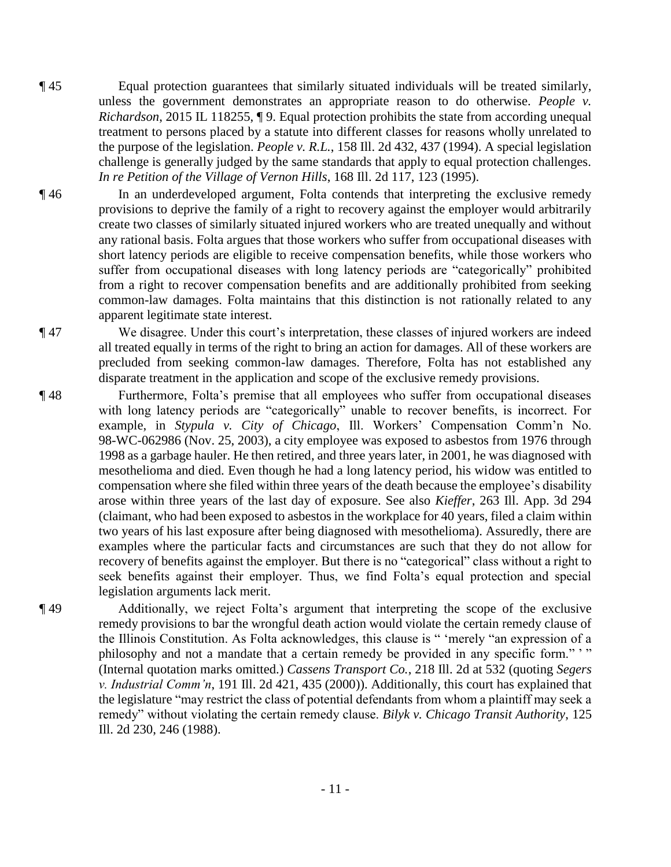- ¶ 45 Equal protection guarantees that similarly situated individuals will be treated similarly, unless the government demonstrates an appropriate reason to do otherwise. *People v. Richardson*, 2015 IL 118255, ¶ 9. Equal protection prohibits the state from according unequal treatment to persons placed by a statute into different classes for reasons wholly unrelated to the purpose of the legislation. *People v. R.L.*, 158 Ill. 2d 432, 437 (1994). A special legislation challenge is generally judged by the same standards that apply to equal protection challenges. *In re Petition of the Village of Vernon Hills*, 168 Ill. 2d 117, 123 (1995).
- ¶ 46 In an underdeveloped argument, Folta contends that interpreting the exclusive remedy provisions to deprive the family of a right to recovery against the employer would arbitrarily create two classes of similarly situated injured workers who are treated unequally and without any rational basis. Folta argues that those workers who suffer from occupational diseases with short latency periods are eligible to receive compensation benefits, while those workers who suffer from occupational diseases with long latency periods are "categorically" prohibited from a right to recover compensation benefits and are additionally prohibited from seeking common-law damages. Folta maintains that this distinction is not rationally related to any apparent legitimate state interest.

¶ 47 We disagree. Under this court's interpretation, these classes of injured workers are indeed all treated equally in terms of the right to bring an action for damages. All of these workers are precluded from seeking common-law damages. Therefore, Folta has not established any disparate treatment in the application and scope of the exclusive remedy provisions.

- ¶ 48 Furthermore, Folta's premise that all employees who suffer from occupational diseases with long latency periods are "categorically" unable to recover benefits, is incorrect. For example, in *Stypula v. City of Chicago*, Ill. Workers' Compensation Comm'n No. 98-WC-062986 (Nov. 25, 2003), a city employee was exposed to asbestos from 1976 through 1998 as a garbage hauler. He then retired, and three years later, in 2001, he was diagnosed with mesothelioma and died. Even though he had a long latency period, his widow was entitled to compensation where she filed within three years of the death because the employee's disability arose within three years of the last day of exposure. See also *Kieffer*, 263 Ill. App. 3d 294 (claimant, who had been exposed to asbestos in the workplace for 40 years, filed a claim within two years of his last exposure after being diagnosed with mesothelioma). Assuredly, there are examples where the particular facts and circumstances are such that they do not allow for recovery of benefits against the employer. But there is no "categorical" class without a right to seek benefits against their employer. Thus, we find Folta's equal protection and special legislation arguments lack merit.
- ¶ 49 Additionally, we reject Folta's argument that interpreting the scope of the exclusive remedy provisions to bar the wrongful death action would violate the certain remedy clause of the Illinois Constitution. As Folta acknowledges, this clause is " 'merely "an expression of a philosophy and not a mandate that a certain remedy be provided in any specific form." ' " (Internal quotation marks omitted.) *Cassens Transport Co.*, 218 Ill. 2d at 532 (quoting *Segers v. Industrial Comm'n*, 191 Ill. 2d 421, 435 (2000)). Additionally, this court has explained that the legislature "may restrict the class of potential defendants from whom a plaintiff may seek a remedy" without violating the certain remedy clause. *Bilyk v. Chicago Transit Authority*, 125 Ill. 2d 230, 246 (1988).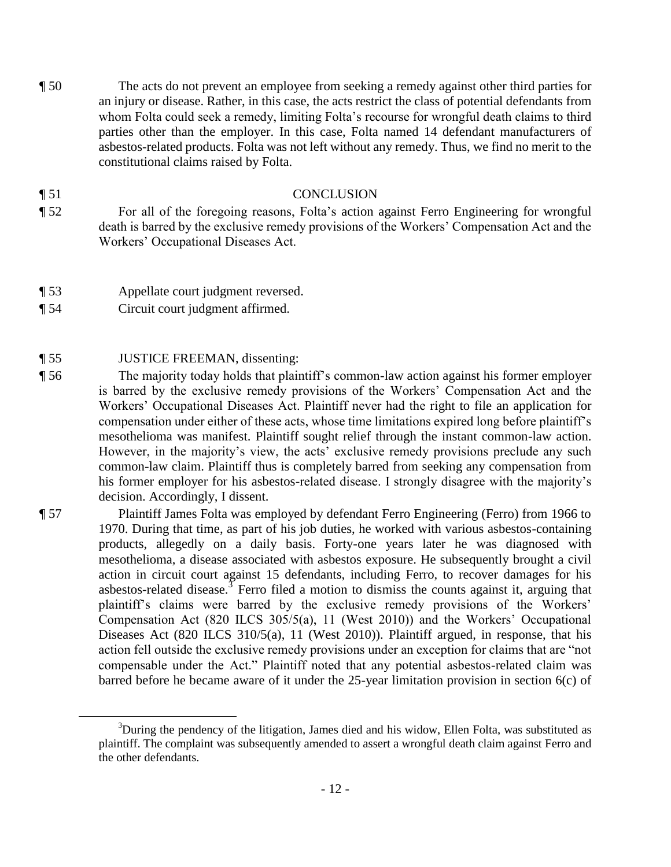¶ 50 The acts do not prevent an employee from seeking a remedy against other third parties for an injury or disease. Rather, in this case, the acts restrict the class of potential defendants from whom Folta could seek a remedy, limiting Folta's recourse for wrongful death claims to third parties other than the employer. In this case, Folta named 14 defendant manufacturers of asbestos-related products. Folta was not left without any remedy. Thus, we find no merit to the constitutional claims raised by Folta.

### ¶ 51 CONCLUSION

- ¶ 52 For all of the foregoing reasons, Folta's action against Ferro Engineering for wrongful death is barred by the exclusive remedy provisions of the Workers' Compensation Act and the Workers' Occupational Diseases Act.
- ¶ 53 Appellate court judgment reversed.
- ¶ 54 Circuit court judgment affirmed.
- ¶ 55 JUSTICE FREEMAN, dissenting:

 $\overline{a}$ 

- ¶ 56 The majority today holds that plaintiff's common-law action against his former employer is barred by the exclusive remedy provisions of the Workers' Compensation Act and the Workers' Occupational Diseases Act. Plaintiff never had the right to file an application for compensation under either of these acts, whose time limitations expired long before plaintiff's mesothelioma was manifest. Plaintiff sought relief through the instant common-law action. However, in the majority's view, the acts' exclusive remedy provisions preclude any such common-law claim. Plaintiff thus is completely barred from seeking any compensation from his former employer for his asbestos-related disease. I strongly disagree with the majority's decision. Accordingly, I dissent.
- ¶ 57 Plaintiff James Folta was employed by defendant Ferro Engineering (Ferro) from 1966 to 1970. During that time, as part of his job duties, he worked with various asbestos-containing products, allegedly on a daily basis. Forty-one years later he was diagnosed with mesothelioma, a disease associated with asbestos exposure. He subsequently brought a civil action in circuit court against 15 defendants, including Ferro, to recover damages for his asbestos-related disease.<sup>3</sup> Ferro filed a motion to dismiss the counts against it, arguing that plaintiff's claims were barred by the exclusive remedy provisions of the Workers' Compensation Act (820 ILCS 305/5(a), 11 (West 2010)) and the Workers' Occupational Diseases Act (820 ILCS 310/5(a), 11 (West 2010)). Plaintiff argued, in response, that his action fell outside the exclusive remedy provisions under an exception for claims that are "not compensable under the Act." Plaintiff noted that any potential asbestos-related claim was barred before he became aware of it under the 25-year limitation provision in section 6(c) of

<sup>&</sup>lt;sup>3</sup>During the pendency of the litigation, James died and his widow, Ellen Folta, was substituted as plaintiff. The complaint was subsequently amended to assert a wrongful death claim against Ferro and the other defendants.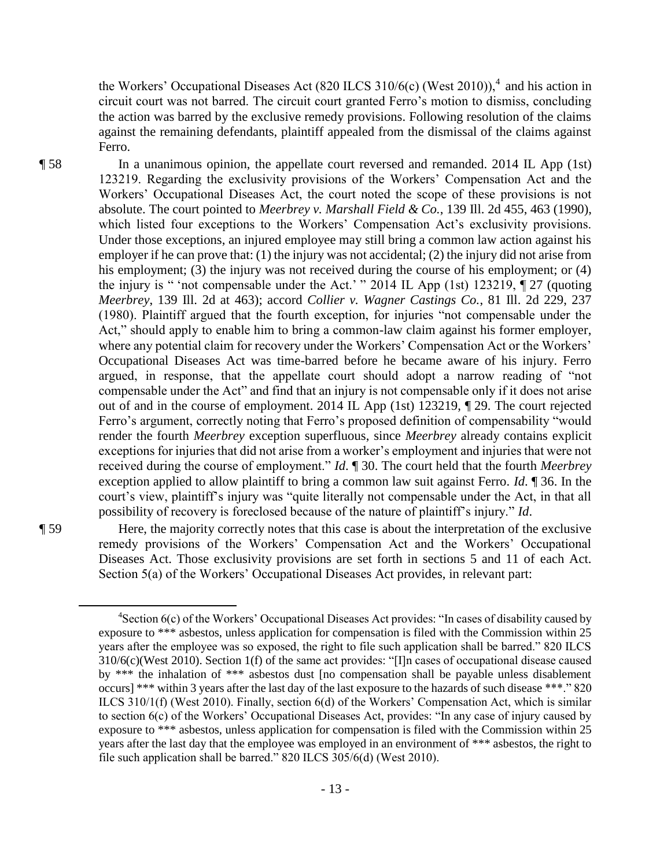the Workers' Occupational Diseases Act (820 ILCS 310/6(c) (West 2010)),<sup>4</sup> and his action in circuit court was not barred. The circuit court granted Ferro's motion to dismiss, concluding the action was barred by the exclusive remedy provisions. Following resolution of the claims against the remaining defendants, plaintiff appealed from the dismissal of the claims against Ferro.

¶ 58 In a unanimous opinion, the appellate court reversed and remanded. 2014 IL App (1st) 123219. Regarding the exclusivity provisions of the Workers' Compensation Act and the Workers' Occupational Diseases Act, the court noted the scope of these provisions is not absolute. The court pointed to *Meerbrey v. Marshall Field & Co.*, 139 Ill. 2d 455, 463 (1990), which listed four exceptions to the Workers' Compensation Act's exclusivity provisions. Under those exceptions, an injured employee may still bring a common law action against his employer if he can prove that: (1) the injury was not accidental; (2) the injury did not arise from his employment; (3) the injury was not received during the course of his employment; or (4) the injury is " 'not compensable under the Act.' " 2014 IL App (1st) 123219, ¶ 27 (quoting *Meerbrey*, 139 Ill. 2d at 463); accord *Collier v. Wagner Castings Co.*, 81 Ill. 2d 229, 237 (1980). Plaintiff argued that the fourth exception, for injuries "not compensable under the Act," should apply to enable him to bring a common-law claim against his former employer, where any potential claim for recovery under the Workers' Compensation Act or the Workers' Occupational Diseases Act was time-barred before he became aware of his injury. Ferro argued, in response, that the appellate court should adopt a narrow reading of "not compensable under the Act" and find that an injury is not compensable only if it does not arise out of and in the course of employment. 2014 IL App (1st) 123219, ¶ 29. The court rejected Ferro's argument, correctly noting that Ferro's proposed definition of compensability "would render the fourth *Meerbrey* exception superfluous, since *Meerbrey* already contains explicit exceptions for injuries that did not arise from a worker's employment and injuries that were not received during the course of employment." *Id*. ¶ 30. The court held that the fourth *Meerbrey*  exception applied to allow plaintiff to bring a common law suit against Ferro. *Id*. ¶ 36. In the court's view, plaintiff's injury was "quite literally not compensable under the Act, in that all possibility of recovery is foreclosed because of the nature of plaintiff's injury." *Id*.

 $\overline{a}$ 

¶ 59 Here, the majority correctly notes that this case is about the interpretation of the exclusive remedy provisions of the Workers' Compensation Act and the Workers' Occupational Diseases Act. Those exclusivity provisions are set forth in sections 5 and 11 of each Act. Section 5(a) of the Workers' Occupational Diseases Act provides, in relevant part:

 ${}^{4}$ Section 6(c) of the Workers' Occupational Diseases Act provides: "In cases of disability caused by exposure to \*\*\* asbestos, unless application for compensation is filed with the Commission within 25 years after the employee was so exposed, the right to file such application shall be barred." 820 ILCS 310/6(c)(West 2010). Section 1(f) of the same act provides: "[I]n cases of occupational disease caused by \*\*\* the inhalation of \*\*\* asbestos dust [no compensation shall be payable unless disablement occurs] \*\*\* within 3 years after the last day of the last exposure to the hazards of such disease \*\*\*." 820 ILCS 310/1(f) (West 2010). Finally, section 6(d) of the Workers' Compensation Act, which is similar to section 6(c) of the Workers' Occupational Diseases Act, provides: "In any case of injury caused by exposure to \*\*\* asbestos, unless application for compensation is filed with the Commission within 25 years after the last day that the employee was employed in an environment of \*\*\* asbestos, the right to file such application shall be barred." 820 ILCS 305/6(d) (West 2010).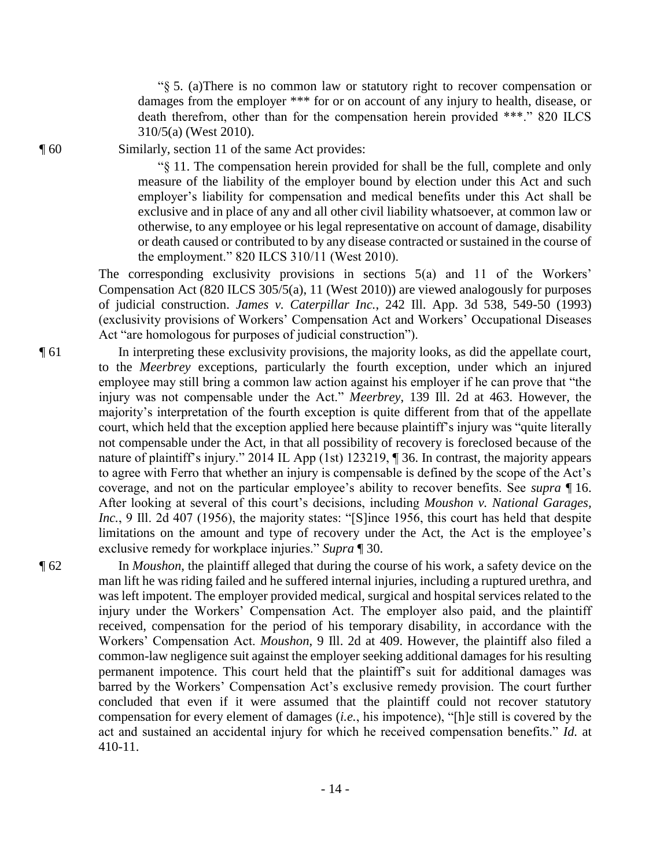"§ 5. (a)There is no common law or statutory right to recover compensation or damages from the employer \*\*\* for or on account of any injury to health, disease, or death therefrom, other than for the compensation herein provided \*\*\*." 820 ILCS 310/5(a) (West 2010).

¶ 60 Similarly, section 11 of the same Act provides:

"§ 11. The compensation herein provided for shall be the full, complete and only measure of the liability of the employer bound by election under this Act and such employer's liability for compensation and medical benefits under this Act shall be exclusive and in place of any and all other civil liability whatsoever, at common law or otherwise, to any employee or his legal representative on account of damage, disability or death caused or contributed to by any disease contracted or sustained in the course of the employment." 820 ILCS 310/11 (West 2010).

The corresponding exclusivity provisions in sections 5(a) and 11 of the Workers' Compensation Act (820 ILCS 305/5(a), 11 (West 2010)) are viewed analogously for purposes of judicial construction. *James v. Caterpillar Inc.*, 242 Ill. App. 3d 538, 549-50 (1993) (exclusivity provisions of Workers' Compensation Act and Workers' Occupational Diseases Act "are homologous for purposes of judicial construction").

¶ 61 In interpreting these exclusivity provisions, the majority looks, as did the appellate court, to the *Meerbrey* exceptions, particularly the fourth exception, under which an injured employee may still bring a common law action against his employer if he can prove that "the injury was not compensable under the Act." *Meerbrey*, 139 Ill. 2d at 463. However, the majority's interpretation of the fourth exception is quite different from that of the appellate court, which held that the exception applied here because plaintiff's injury was "quite literally not compensable under the Act, in that all possibility of recovery is foreclosed because of the nature of plaintiff's injury." 2014 IL App (1st) 123219,  $\parallel$  36. In contrast, the majority appears to agree with Ferro that whether an injury is compensable is defined by the scope of the Act's coverage, and not on the particular employee's ability to recover benefits. See *supra* ¶ 16. After looking at several of this court's decisions, including *Moushon v. National Garages, Inc.*, 9 Ill. 2d 407 (1956), the majority states: "[S]ince 1956, this court has held that despite limitations on the amount and type of recovery under the Act, the Act is the employee's exclusive remedy for workplace injuries." *Supra* ¶ 30.

¶ 62 In *Moushon*, the plaintiff alleged that during the course of his work, a safety device on the man lift he was riding failed and he suffered internal injuries, including a ruptured urethra, and was left impotent. The employer provided medical, surgical and hospital services related to the injury under the Workers' Compensation Act. The employer also paid, and the plaintiff received, compensation for the period of his temporary disability, in accordance with the Workers' Compensation Act. *Moushon*, 9 Ill. 2d at 409. However, the plaintiff also filed a common-law negligence suit against the employer seeking additional damages for his resulting permanent impotence. This court held that the plaintiff's suit for additional damages was barred by the Workers' Compensation Act's exclusive remedy provision. The court further concluded that even if it were assumed that the plaintiff could not recover statutory compensation for every element of damages (*i.e.*, his impotence), "[h]e still is covered by the act and sustained an accidental injury for which he received compensation benefits." *Id.* at 410-11.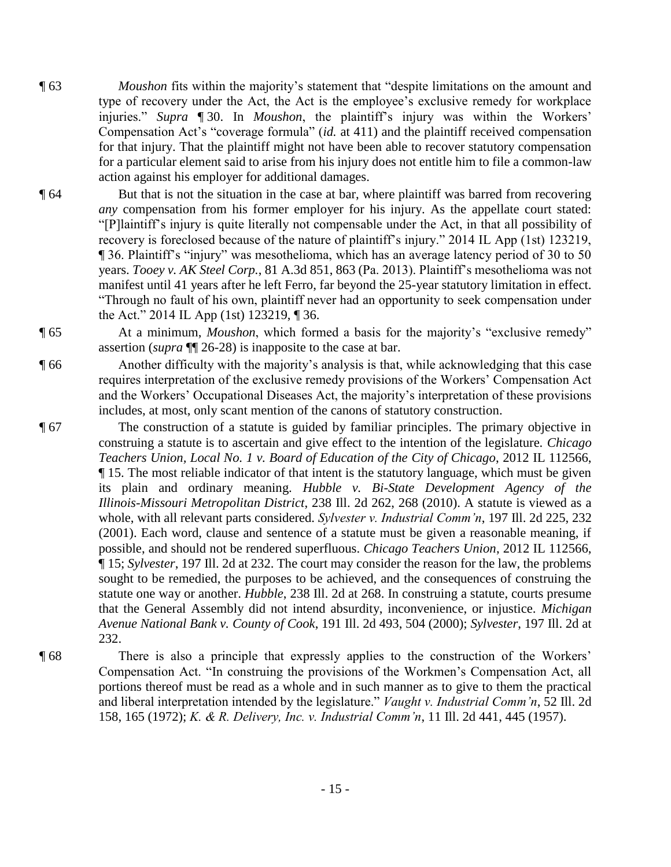- ¶ 63 *Moushon* fits within the majority's statement that "despite limitations on the amount and type of recovery under the Act, the Act is the employee's exclusive remedy for workplace injuries." *Supra* ¶ 30. In *Moushon*, the plaintiff's injury was within the Workers' Compensation Act's "coverage formula" (*id.* at 411) and the plaintiff received compensation for that injury. That the plaintiff might not have been able to recover statutory compensation for a particular element said to arise from his injury does not entitle him to file a common-law action against his employer for additional damages.
- ¶ 64 But that is not the situation in the case at bar, where plaintiff was barred from recovering *any* compensation from his former employer for his injury. As the appellate court stated: "[P]laintiff's injury is quite literally not compensable under the Act, in that all possibility of recovery is foreclosed because of the nature of plaintiff's injury." 2014 IL App (1st) 123219, ¶ 36. Plaintiff's "injury" was mesothelioma, which has an average latency period of 30 to 50 years. *Tooey v. AK Steel Corp.*, 81 A.3d 851, 863 (Pa. 2013). Plaintiff's mesothelioma was not manifest until 41 years after he left Ferro, far beyond the 25-year statutory limitation in effect. "Through no fault of his own, plaintiff never had an opportunity to seek compensation under the Act." 2014 IL App (1st) 123219, ¶ 36.
- ¶ 65 At a minimum, *Moushon*, which formed a basis for the majority's "exclusive remedy" assertion (*supra* ¶¶ 26-28) is inapposite to the case at bar.
- ¶ 66 Another difficulty with the majority's analysis is that, while acknowledging that this case requires interpretation of the exclusive remedy provisions of the Workers' Compensation Act and the Workers' Occupational Diseases Act, the majority's interpretation of these provisions includes, at most, only scant mention of the canons of statutory construction.
- ¶ 67 The construction of a statute is guided by familiar principles. The primary objective in construing a statute is to ascertain and give effect to the intention of the legislature. *Chicago Teachers Union, Local No. 1 v. Board of Education of the City of Chicago*, 2012 IL 112566, ¶ 15. The most reliable indicator of that intent is the statutory language, which must be given its plain and ordinary meaning. *Hubble v. Bi-State Development Agency of the Illinois-Missouri Metropolitan District*, 238 Ill. 2d 262, 268 (2010). A statute is viewed as a whole, with all relevant parts considered. *Sylvester v. Industrial Comm'n*, 197 Ill. 2d 225, 232 (2001). Each word, clause and sentence of a statute must be given a reasonable meaning, if possible, and should not be rendered superfluous. *Chicago Teachers Union*, 2012 IL 112566, ¶ 15; *Sylvester*, 197 Ill. 2d at 232. The court may consider the reason for the law, the problems sought to be remedied, the purposes to be achieved, and the consequences of construing the statute one way or another. *Hubble*, 238 Ill. 2d at 268. In construing a statute, courts presume that the General Assembly did not intend absurdity, inconvenience, or injustice. *Michigan Avenue National Bank v. County of Cook*, 191 Ill. 2d 493, 504 (2000); *Sylvester*, 197 Ill. 2d at 232.
- ¶ 68 There is also a principle that expressly applies to the construction of the Workers' Compensation Act. "In construing the provisions of the Workmen's Compensation Act, all portions thereof must be read as a whole and in such manner as to give to them the practical and liberal interpretation intended by the legislature." *Vaught v. Industrial Comm'n*, 52 Ill. 2d 158, 165 (1972); *K. & R. Delivery, Inc. v. Industrial Comm'n*, 11 Ill. 2d 441, 445 (1957).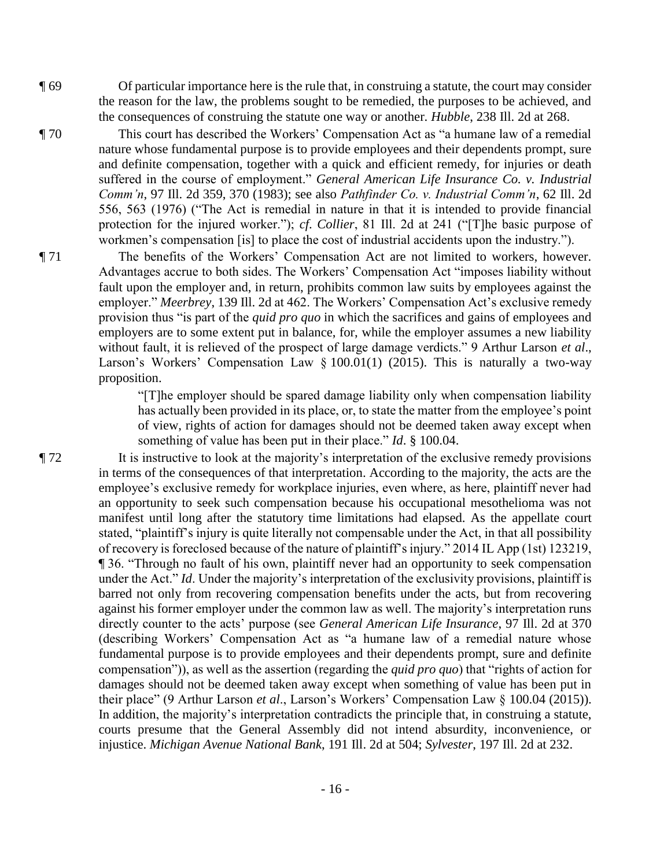- ¶ 69 Of particular importance here is the rule that, in construing a statute, the court may consider the reason for the law, the problems sought to be remedied, the purposes to be achieved, and the consequences of construing the statute one way or another. *Hubble*, 238 Ill. 2d at 268.
- ¶ 70 This court has described the Workers' Compensation Act as "a humane law of a remedial nature whose fundamental purpose is to provide employees and their dependents prompt, sure and definite compensation, together with a quick and efficient remedy, for injuries or death suffered in the course of employment." *General American Life Insurance Co. v. Industrial Comm'n*, 97 Ill. 2d 359, 370 (1983); see also *Pathfinder Co. v. Industrial Comm'n*, 62 Ill. 2d 556, 563 (1976) ("The Act is remedial in nature in that it is intended to provide financial protection for the injured worker."); *cf*. *Collier*, 81 Ill. 2d at 241 ("[T]he basic purpose of workmen's compensation [is] to place the cost of industrial accidents upon the industry.").
- ¶ 71 The benefits of the Workers' Compensation Act are not limited to workers, however. Advantages accrue to both sides. The Workers' Compensation Act "imposes liability without fault upon the employer and, in return, prohibits common law suits by employees against the employer." *Meerbrey*, 139 Ill. 2d at 462. The Workers' Compensation Act's exclusive remedy provision thus "is part of the *quid pro quo* in which the sacrifices and gains of employees and employers are to some extent put in balance, for, while the employer assumes a new liability without fault, it is relieved of the prospect of large damage verdicts." 9 Arthur Larson *et al*., Larson's Workers' Compensation Law  $\S$  100.01(1) (2015). This is naturally a two-way proposition.

"[T]he employer should be spared damage liability only when compensation liability has actually been provided in its place, or, to state the matter from the employee's point of view, rights of action for damages should not be deemed taken away except when something of value has been put in their place." *Id*. § 100.04.

¶ 72 It is instructive to look at the majority's interpretation of the exclusive remedy provisions in terms of the consequences of that interpretation. According to the majority, the acts are the employee's exclusive remedy for workplace injuries, even where, as here, plaintiff never had an opportunity to seek such compensation because his occupational mesothelioma was not manifest until long after the statutory time limitations had elapsed. As the appellate court stated, "plaintiff's injury is quite literally not compensable under the Act, in that all possibility of recovery is foreclosed because of the nature of plaintiff's injury." 2014 IL App (1st) 123219, ¶ 36. "Through no fault of his own, plaintiff never had an opportunity to seek compensation under the Act." *Id*. Under the majority's interpretation of the exclusivity provisions, plaintiff is barred not only from recovering compensation benefits under the acts, but from recovering against his former employer under the common law as well. The majority's interpretation runs directly counter to the acts' purpose (see *General American Life Insurance*, 97 Ill. 2d at 370 (describing Workers' Compensation Act as "a humane law of a remedial nature whose fundamental purpose is to provide employees and their dependents prompt, sure and definite compensation")), as well as the assertion (regarding the *quid pro quo*) that "rights of action for damages should not be deemed taken away except when something of value has been put in their place" (9 Arthur Larson *et al*., Larson's Workers' Compensation Law § 100.04 (2015)). In addition, the majority's interpretation contradicts the principle that, in construing a statute, courts presume that the General Assembly did not intend absurdity, inconvenience, or injustice. *Michigan Avenue National Bank*, 191 Ill. 2d at 504; *Sylvester*, 197 Ill. 2d at 232.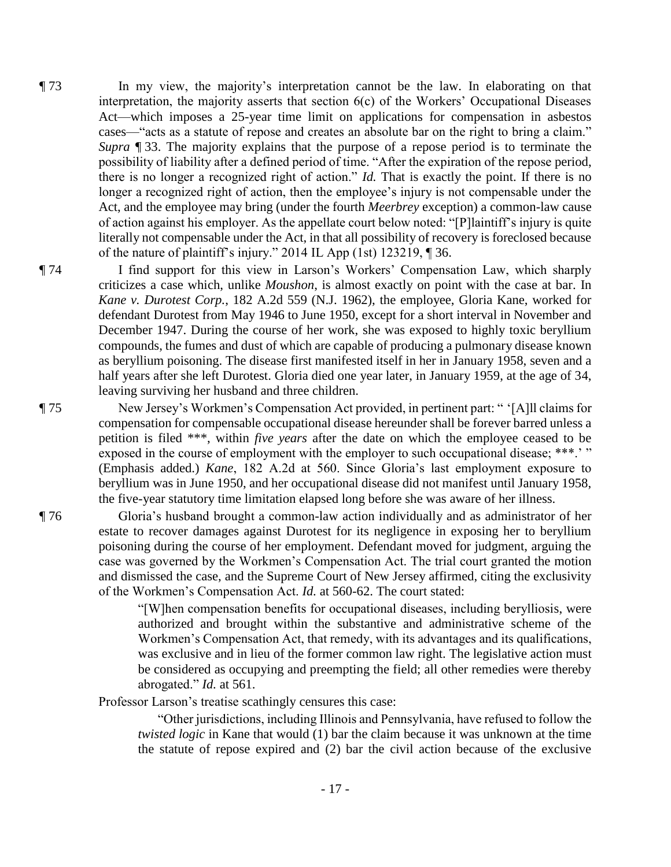- ¶ 73 In my view, the majority's interpretation cannot be the law. In elaborating on that interpretation, the majority asserts that section 6(c) of the Workers' Occupational Diseases Act—which imposes a 25-year time limit on applications for compensation in asbestos cases—"acts as a statute of repose and creates an absolute bar on the right to bring a claim." *Supra* ¶ 33. The majority explains that the purpose of a repose period is to terminate the possibility of liability after a defined period of time. "After the expiration of the repose period, there is no longer a recognized right of action." *Id.* That is exactly the point. If there is no longer a recognized right of action, then the employee's injury is not compensable under the Act, and the employee may bring (under the fourth *Meerbrey* exception) a common-law cause of action against his employer. As the appellate court below noted: "[P]laintiff's injury is quite literally not compensable under the Act, in that all possibility of recovery is foreclosed because of the nature of plaintiff's injury." 2014 IL App (1st) 123219, ¶ 36.
- ¶ 74 I find support for this view in Larson's Workers' Compensation Law, which sharply criticizes a case which, unlike *Moushon*, is almost exactly on point with the case at bar. In *Kane v. Durotest Corp.*, 182 A.2d 559 (N.J. 1962), the employee, Gloria Kane, worked for defendant Durotest from May 1946 to June 1950, except for a short interval in November and December 1947. During the course of her work, she was exposed to highly toxic beryllium compounds, the fumes and dust of which are capable of producing a pulmonary disease known as beryllium poisoning. The disease first manifested itself in her in January 1958, seven and a half years after she left Durotest. Gloria died one year later, in January 1959, at the age of 34, leaving surviving her husband and three children.

¶ 75 New Jersey's Workmen's Compensation Act provided, in pertinent part: " '[A]ll claims for compensation for compensable occupational disease hereunder shall be forever barred unless a petition is filed \*\*\*, within *five years* after the date on which the employee ceased to be exposed in the course of employment with the employer to such occupational disease; \*\*\*.' " (Emphasis added.) *Kane*, 182 A.2d at 560. Since Gloria's last employment exposure to beryllium was in June 1950, and her occupational disease did not manifest until January 1958, the five-year statutory time limitation elapsed long before she was aware of her illness.

¶ 76 Gloria's husband brought a common-law action individually and as administrator of her estate to recover damages against Durotest for its negligence in exposing her to beryllium poisoning during the course of her employment. Defendant moved for judgment, arguing the case was governed by the Workmen's Compensation Act. The trial court granted the motion and dismissed the case, and the Supreme Court of New Jersey affirmed, citing the exclusivity of the Workmen's Compensation Act. *Id.* at 560-62. The court stated:

> "[W]hen compensation benefits for occupational diseases, including berylliosis, were authorized and brought within the substantive and administrative scheme of the Workmen's Compensation Act, that remedy, with its advantages and its qualifications, was exclusive and in lieu of the former common law right. The legislative action must be considered as occupying and preempting the field; all other remedies were thereby abrogated." *Id.* at 561.

Professor Larson's treatise scathingly censures this case:

"Other jurisdictions, including Illinois and Pennsylvania, have refused to follow the *twisted logic* in Kane that would (1) bar the claim because it was unknown at the time the statute of repose expired and (2) bar the civil action because of the exclusive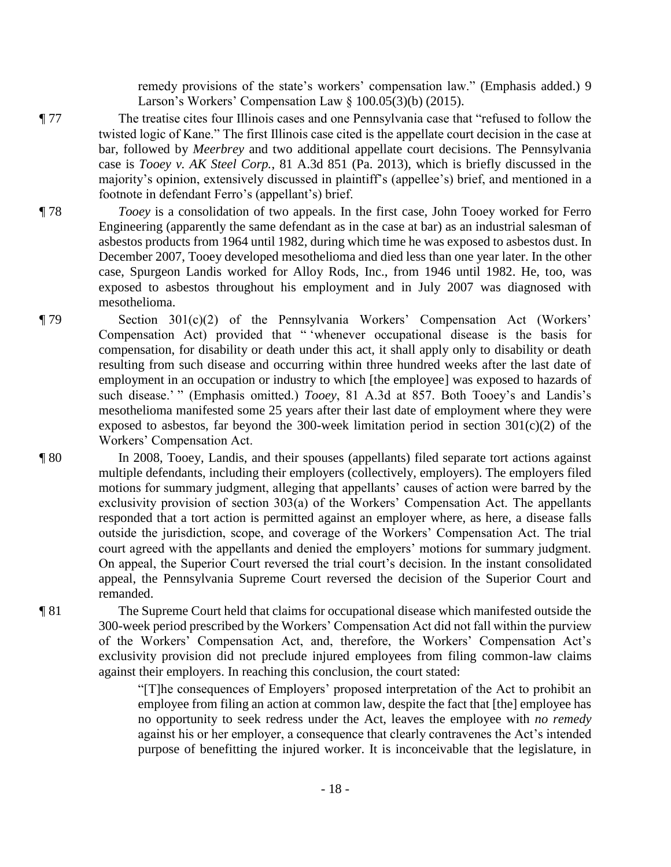remedy provisions of the state's workers' compensation law." (Emphasis added.) 9 Larson's Workers' Compensation Law § 100.05(3)(b) (2015).

- ¶ 77 The treatise cites four Illinois cases and one Pennsylvania case that "refused to follow the twisted logic of Kane." The first Illinois case cited is the appellate court decision in the case at bar, followed by *Meerbrey* and two additional appellate court decisions. The Pennsylvania case is *Tooey v. AK Steel Corp.*, 81 A.3d 851 (Pa. 2013), which is briefly discussed in the majority's opinion, extensively discussed in plaintiff's (appellee's) brief, and mentioned in a footnote in defendant Ferro's (appellant's) brief.
- ¶ 78 *Tooey* is a consolidation of two appeals. In the first case, John Tooey worked for Ferro Engineering (apparently the same defendant as in the case at bar) as an industrial salesman of asbestos products from 1964 until 1982, during which time he was exposed to asbestos dust. In December 2007, Tooey developed mesothelioma and died less than one year later. In the other case, Spurgeon Landis worked for Alloy Rods, Inc., from 1946 until 1982. He, too, was exposed to asbestos throughout his employment and in July 2007 was diagnosed with mesothelioma.
- ¶ 79 Section 301(c)(2) of the Pennsylvania Workers' Compensation Act (Workers' Compensation Act) provided that " 'whenever occupational disease is the basis for compensation, for disability or death under this act, it shall apply only to disability or death resulting from such disease and occurring within three hundred weeks after the last date of employment in an occupation or industry to which [the employee] was exposed to hazards of such disease.' " (Emphasis omitted.) *Tooey*, 81 A.3d at 857. Both Tooey's and Landis's mesothelioma manifested some 25 years after their last date of employment where they were exposed to asbestos, far beyond the 300-week limitation period in section  $301(c)(2)$  of the Workers' Compensation Act.
- ¶ 80 In 2008, Tooey, Landis, and their spouses (appellants) filed separate tort actions against multiple defendants, including their employers (collectively, employers). The employers filed motions for summary judgment, alleging that appellants' causes of action were barred by the exclusivity provision of section 303(a) of the Workers' Compensation Act. The appellants responded that a tort action is permitted against an employer where, as here, a disease falls outside the jurisdiction, scope, and coverage of the Workers' Compensation Act. The trial court agreed with the appellants and denied the employers' motions for summary judgment. On appeal, the Superior Court reversed the trial court's decision. In the instant consolidated appeal, the Pennsylvania Supreme Court reversed the decision of the Superior Court and remanded.
- ¶ 81 The Supreme Court held that claims for occupational disease which manifested outside the 300-week period prescribed by the Workers' Compensation Act did not fall within the purview of the Workers' Compensation Act, and, therefore, the Workers' Compensation Act's exclusivity provision did not preclude injured employees from filing common-law claims against their employers. In reaching this conclusion, the court stated:

"[T]he consequences of Employers' proposed interpretation of the Act to prohibit an employee from filing an action at common law, despite the fact that [the] employee has no opportunity to seek redress under the Act, leaves the employee with *no remedy*  against his or her employer, a consequence that clearly contravenes the Act's intended purpose of benefitting the injured worker. It is inconceivable that the legislature, in